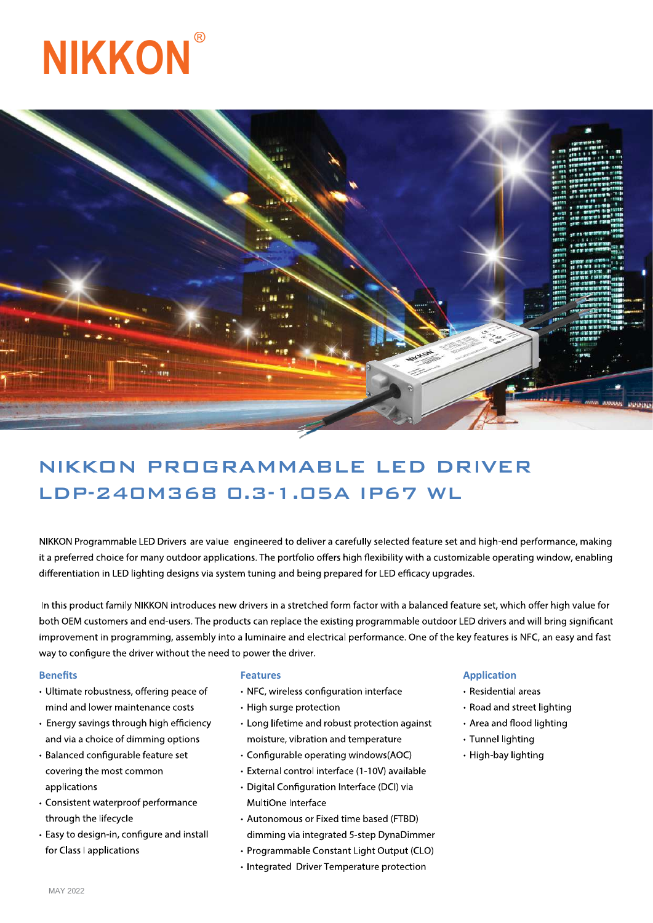



# NIKKON PROGRAMMABLE LED DRIVER LDP-240M368 0.3-1.05A IP67 WL

NIKKON Programmable LED Drivers are value engineered to deliver a carefully selected feature set and high-end performance, making it a preferred choice for many outdoor applications. The portfolio offers high flexibility with a customizable operating window, enabling differentiation in LED lighting designs via system tuning and being prepared for LED efficacy upgrades.

In this product family NIKKON introduces new drivers in a stretched form factor with a balanced feature set, which offer high value for both OEM customers and end-users. The products can replace the existing programmable outdoor LED drivers and will bring significant improvement in programming, assembly into a luminaire and electrical performance. One of the key features is NFC, an easy and fast way to configure the driver without the need to power the driver.

#### **Benefits**

- Ultimate robustness, offering peace of mind and lower maintenance costs
- Energy savings through high efficiency and via a choice of dimming options
- · Balanced configurable feature set covering the most common applications
- Consistent waterproof performance through the lifecycle
- Easy to design-in, configure and install for Class I applications

#### **Features**

- NFC, wireless configuration interface
- High surge protection
- Long lifetime and robust protection against moisture, vibration and temperature
- Configurable operating windows(AOC)
- · External control interface (1-10V) available
- Digital Configuration Interface (DCI) via MultiOne Interface
- Autonomous or Fixed time based (FTBD) dimming via integrated 5-step DynaDimmer
- · Programmable Constant Light Output (CLO)
- Integrated Driver Temperature protection

# **Application**

- Residential areas
- Road and street lighting
- Area and flood lighting
- Tunnel lighting
- High-bay lighting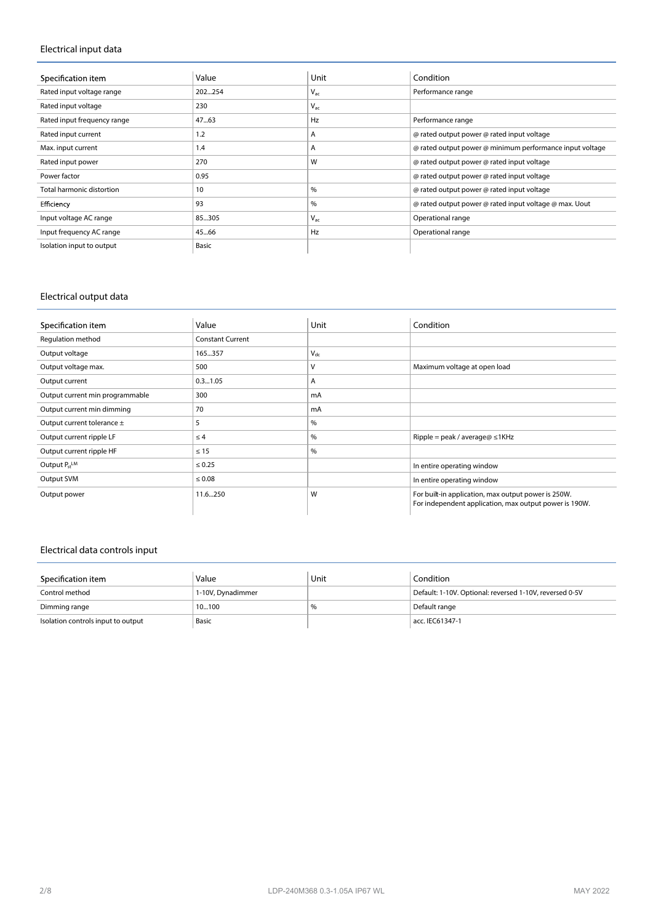# **Electrical input data**

| Specification item          | Value  | Unit     | Condition                                                |
|-----------------------------|--------|----------|----------------------------------------------------------|
| Rated input voltage range   | 202254 | $V_{ac}$ | Performance range                                        |
| Rated input voltage         | 230    | $V_{ac}$ |                                                          |
| Rated input frequency range | 47.63  | Hz       | Performance range                                        |
| Rated input current         | 1.2    | A        | @ rated output power @ rated input voltage               |
| Max. input current          | 1.4    | A        | @ rated output power @ minimum performance input voltage |
| Rated input power           | 270    | W        | @ rated output power @ rated input voltage               |
| Power factor                | 0.95   |          | @ rated output power @ rated input voltage               |
| Total harmonic distortion   | 10     | $\%$     | @ rated output power @ rated input voltage               |
| Efficiency                  | 93     | $\%$     | @ rated output power @ rated input voltage @ max. Uout   |
| Input voltage AC range      | 85305  | $V_{ac}$ | Operational range                                        |
| Input frequency AC range    | 45.66  | Hz       | Operational range                                        |
| Isolation input to output   | Basic  |          |                                                          |

# **Electrical output data**

| Specification item              | Value                   | Unit     | Condition                                                                                                     |
|---------------------------------|-------------------------|----------|---------------------------------------------------------------------------------------------------------------|
| Regulation method               | <b>Constant Current</b> |          |                                                                                                               |
| Output voltage                  | 165357                  | $V_{dc}$ |                                                                                                               |
| Output voltage max.             | 500                     | ν        | Maximum voltage at open load                                                                                  |
| Output current                  | 0.31.05                 | A        |                                                                                                               |
| Output current min programmable | 300                     | mA       |                                                                                                               |
| Output current min dimming      | 70                      | mA       |                                                                                                               |
| Output current tolerance ±      | 5                       | $\%$     |                                                                                                               |
| Output current ripple LF        | $\leq 4$                | $\%$     | Ripple = peak / average@ $\leq$ 1KHz                                                                          |
| Output current ripple HF        | $\leq 15$               | %        |                                                                                                               |
| Output $P_{st}$ <sup>LM</sup>   | $\leq 0.25$             |          | In entire operating window                                                                                    |
| Output SVM                      | $\leq 0.08$             |          | In entire operating window                                                                                    |
| Output power                    | 11.6250                 | W        | For built-in application, max output power is 250W.<br>For independent application, max output power is 190W. |

# **Electrical data controls input**

| Specification item                 | Value             | Unit | Condition                                               |
|------------------------------------|-------------------|------|---------------------------------------------------------|
| Control method                     | 1-10V, Dynadimmer |      | Default: 1-10V. Optional: reversed 1-10V, reversed 0-5V |
| Dimming range                      | 10100             | %    | Default range                                           |
| Isolation controls input to output | Basic             |      | acc. IEC61347-1                                         |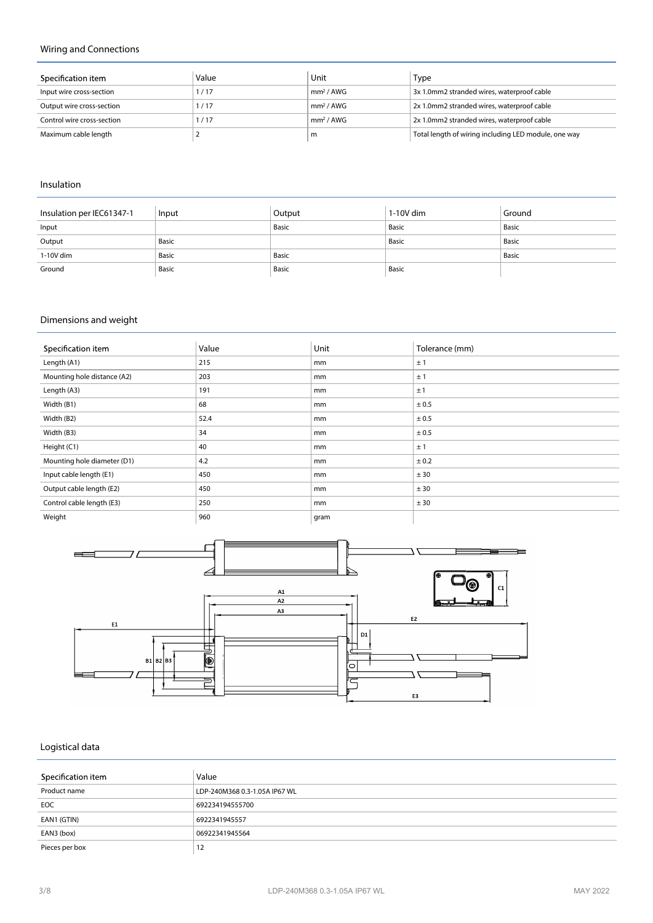# **Wiring and Connections**

| Specification item         | Value | Unit                  | Type                                                 |
|----------------------------|-------|-----------------------|------------------------------------------------------|
| Input wire cross-section   | 1/17  | mm <sup>2</sup> / AWG | 3x 1.0mm2 stranded wires, waterproof cable           |
| Output wire cross-section  | 1/17  | mm <sup>2</sup> / AWG | 2x 1.0mm2 stranded wires, waterproof cable           |
| Control wire cross-section | 117   | mm <sup>2</sup> / AWG | 2x 1.0mm2 stranded wires, waterproof cable           |
| Maximum cable length       |       | m                     | Total length of wiring including LED module, one way |

#### **Insulation**

| Insulation per IEC61347-1 | Input | Output | $1-10V$ dim | Ground |
|---------------------------|-------|--------|-------------|--------|
| Input                     |       | Basic  | Basic       | Basic  |
| Output                    | Basic |        | Basic       | Basic  |
| 1-10V dim                 | Basic | Basic  |             | Basic  |
| Ground                    | Basic | Basic  | Basic       |        |

# **Dimensions and weight**

| Specification item          | Value | Unit | Tolerance (mm) |
|-----------------------------|-------|------|----------------|
| Length (A1)                 | 215   | mm   | ±1             |
| Mounting hole distance (A2) | 203   | mm   | ±1             |
| Length (A3)                 | 191   | mm   | ±1             |
| Width (B1)                  | 68    | mm   | ± 0.5          |
| Width (B2)                  | 52.4  | mm   | ± 0.5          |
| Width (B3)                  | 34    | mm   | ± 0.5          |
| Height (C1)                 | 40    | mm   | ±1             |
| Mounting hole diameter (D1) | 4.2   | mm   | ± 0.2          |
| Input cable length (E1)     | 450   | mm   | ± 30           |
| Output cable length (E2)    | 450   | mm   | ± 30           |
| Control cable length (E3)   | 250   | mm   | ± 30           |
| Weight                      | 960   | gram |                |



# **Logistical data**

| Specification item | Value                         |
|--------------------|-------------------------------|
| Product name       | LDP-240M368 0.3-1.05A IP67 WL |
| <b>EOC</b>         | 692234194555700               |
| EAN1 (GTIN)        | 6922341945557                 |
| EAN3 (box)         | 06922341945564                |
| Pieces per box     | 12                            |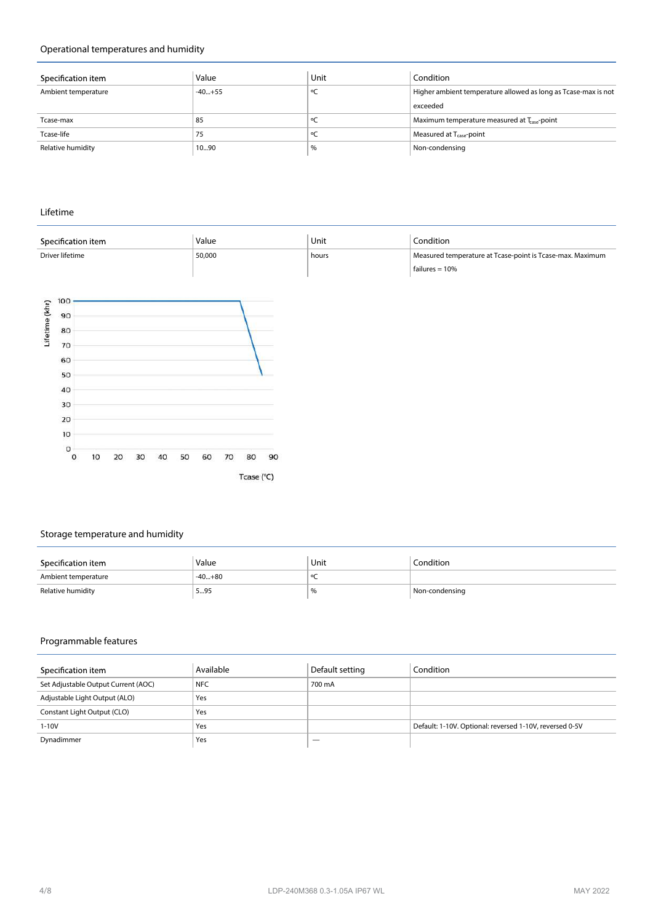# **Operational temperatures and humidity**

| Specification item  | Value    | Unit | Condition                                                      |
|---------------------|----------|------|----------------------------------------------------------------|
| Ambient temperature | $-40+55$ |      | Higher ambient temperature allowed as long as Tcase-max is not |
|                     |          |      | exceeded                                                       |
| Tcase-max           | 85       |      | Maximum temperature measured at T <sub>ase</sub> -point        |
| Tcase-life          | 75       |      | Measured at $T_{case}$ -point                                  |
| Relative humidity   | 1090     | %    | Non-condensing                                                 |

**Lifetime**

|                |                           | Specification item |    |    |       |                                                           | Value |    |            |    | Unit | Condition        |
|----------------|---------------------------|--------------------|----|----|-------|-----------------------------------------------------------|-------|----|------------|----|------|------------------|
|                | Driver lifetime<br>50,000 |                    |    |    | hours | Measured temperature at Tcase-point is Tcase-max. Maximum |       |    |            |    |      |                  |
|                |                           |                    |    |    |       |                                                           |       |    |            |    |      | failures $= 10%$ |
|                | 100                       |                    |    |    |       |                                                           |       |    |            |    |      |                  |
| Lifetime (khr) | 90                        |                    |    |    |       |                                                           |       |    |            |    |      |                  |
|                |                           |                    |    |    |       |                                                           |       |    |            |    |      |                  |
|                | 80                        |                    |    |    |       |                                                           |       |    |            |    |      |                  |
|                | 70                        |                    |    |    |       |                                                           |       |    |            |    |      |                  |
|                | 60                        |                    |    |    |       |                                                           |       |    |            |    |      |                  |
|                | 50                        |                    |    |    |       |                                                           |       |    |            |    |      |                  |
|                | 40                        |                    |    |    |       |                                                           |       |    |            |    |      |                  |
|                | 30<br>20                  |                    |    |    |       |                                                           |       |    |            |    |      |                  |
|                |                           |                    |    |    |       |                                                           |       |    |            |    |      |                  |
|                | 10                        |                    |    |    |       |                                                           |       |    |            |    |      |                  |
|                | $\circ$                   |                    |    |    |       |                                                           |       |    |            |    |      |                  |
|                | $\circ$                   | 10                 | 20 | 30 | 40    | 50                                                        | 60    | 70 | 80         | 90 |      |                  |
|                |                           |                    |    |    |       |                                                           |       |    |            |    |      |                  |
|                |                           |                    |    |    |       |                                                           |       |    | Tcase (°C) |    |      |                  |

# **Storage temperature and humidity**

| Specification item  | Value    | Unit | Condition      |
|---------------------|----------|------|----------------|
| Ambient temperature | $-40+80$ |      |                |
| Relative humidity   | 595      | $\%$ | Non-condensing |

# **Programmable features**

| Specification item                  | Available  | Default setting | Condition                                               |
|-------------------------------------|------------|-----------------|---------------------------------------------------------|
| Set Adjustable Output Current (AOC) | <b>NFC</b> | 700 mA          |                                                         |
| Adjustable Light Output (ALO)       | Yes        |                 |                                                         |
| Constant Light Output (CLO)         | Yes        |                 |                                                         |
| $1 - 10V$                           | Yes        |                 | Default: 1-10V. Optional: reversed 1-10V, reversed 0-5V |
| Dynadimmer                          | Yes        |                 |                                                         |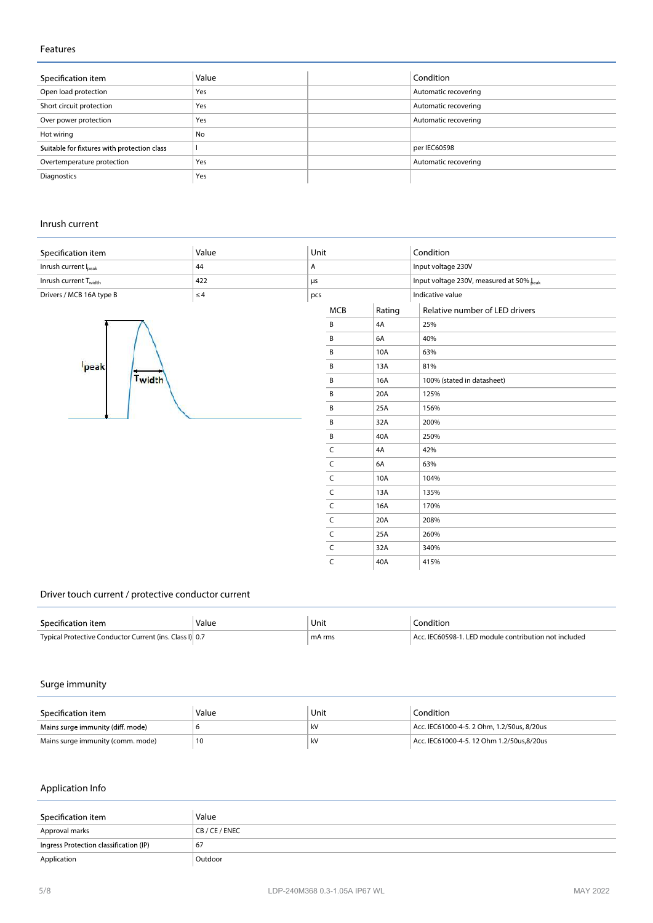#### **Features**

| Specification item                          | Value | Condition            |
|---------------------------------------------|-------|----------------------|
| Open load protection                        | Yes   | Automatic recovering |
| Short circuit protection                    | Yes   | Automatic recovering |
| Over power protection                       | Yes   | Automatic recovering |
| Hot wiring                                  | No    |                      |
| Suitable for fixtures with protection class |       | per IEC60598         |
| Overtemperature protection                  | Yes   | Automatic recovering |
| Diagnostics                                 | Yes   |                      |

#### **Inrush current**

| Specification item                | Value    | Unit |              |        | Condition                                |
|-----------------------------------|----------|------|--------------|--------|------------------------------------------|
| Inrush current Ipeak              | 44       | Α    |              |        | Input voltage 230V                       |
| Inrush current T <sub>width</sub> | 422      | μs   |              |        | Input voltage 230V, measured at 50% beak |
| Drivers / MCB 16A type B          | $\leq 4$ | pcs  |              |        | Indicative value                         |
|                                   |          |      | <b>MCB</b>   | Rating | Relative number of LED drivers           |
| peak                              |          |      | B            | 4A     | 25%                                      |
|                                   |          |      | B            | 6A     | 40%                                      |
|                                   |          |      | B            | 10A    | 63%                                      |
|                                   |          |      | B            | 13A    | 81%                                      |
| Twidth                            |          |      | B            | 16A    | 100% (stated in datasheet)               |
|                                   |          |      | B            | 20A    | 125%                                     |
|                                   |          |      | B            | 25A    | 156%                                     |
|                                   |          |      | B            | 32A    | 200%                                     |
|                                   |          |      | B            | 40A    | 250%                                     |
|                                   |          |      | C            | 4A     | 42%                                      |
|                                   |          |      | $\mathsf{C}$ | 6A     | 63%                                      |
|                                   |          |      | C            | 10A    | 104%                                     |

 $C$  13A 135%

C 16A 170%<br>C 20A 208%<br>C 25A 260%

 $C$  32A 340%  $C$  40A 415%

20A 208% 25A 260%

# **Driver touch current / protective conductor current**

| Specification item                                      | Value | Unit<br>$\sim$ $\sim$ | `ondition                                             |
|---------------------------------------------------------|-------|-----------------------|-------------------------------------------------------|
| Typical Protective Conductor Current (ins. Class I) 0.7 |       | mA rms                | Acc. IEC60598-1. LED module contribution not included |

# **Surge immunity**

| Specification item                | Value | Unit | Condition                                  |
|-----------------------------------|-------|------|--------------------------------------------|
| Mains surge immunity (diff. mode) |       | kV   | Acc. IEC61000-4-5, 2 Ohm. 1.2/50us. 8/20us |
| Mains surge immunity (comm. mode) | 10    | kV   | Acc. IEC61000-4-5. 12 Ohm 1.2/50us.8/20us  |

# **Application Info**

| Specification item                     | Value      |
|----------------------------------------|------------|
| Approval marks                         | CB/CE/ENEC |
| Ingress Protection classification (IP) | 67         |
| Application                            | Outdoor    |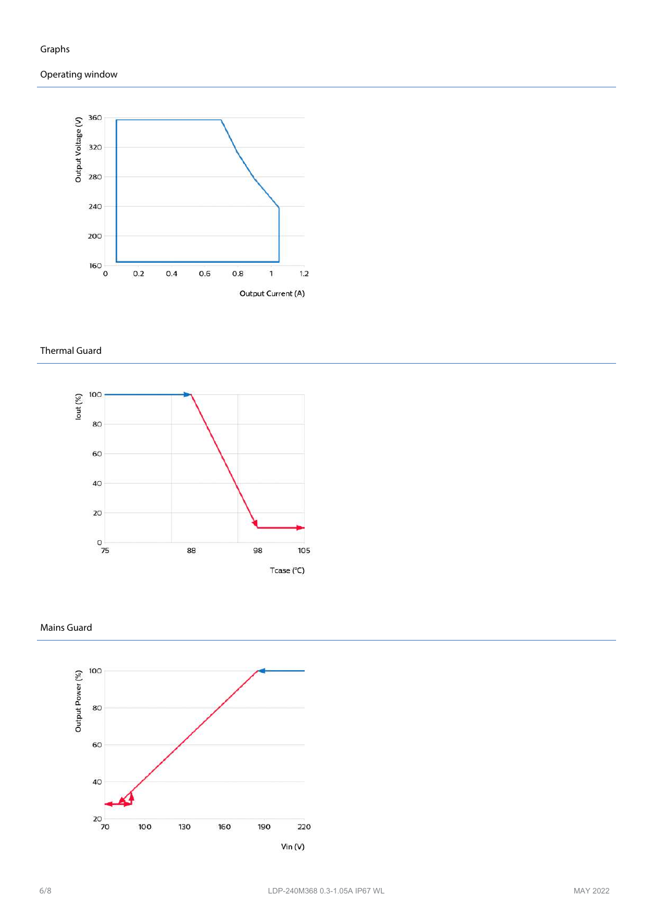



#### **Thermal Guard**



# **Mains Guard**

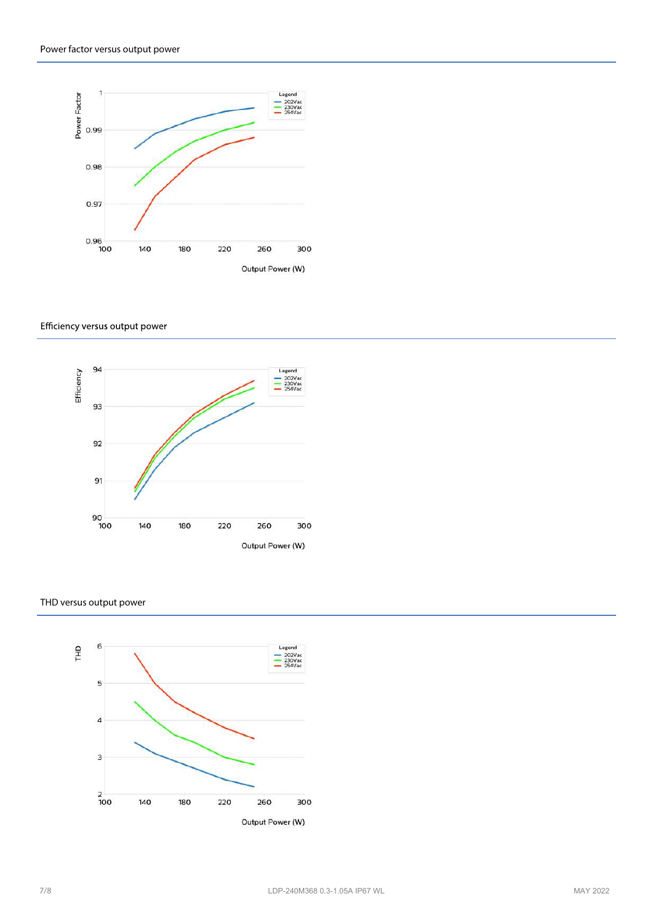

#### Efficiency versus output power



#### **THD versus output power**